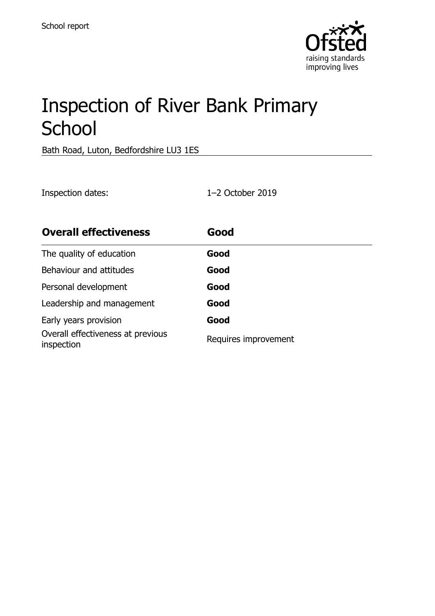

# Inspection of River Bank Primary **School**

Bath Road, Luton, Bedfordshire LU3 1ES

Inspection dates: 1–2 October 2019

| <b>Overall effectiveness</b>                    | Good                 |
|-------------------------------------------------|----------------------|
| The quality of education                        | Good                 |
| Behaviour and attitudes                         | Good                 |
| Personal development                            | Good                 |
| Leadership and management                       | Good                 |
| Early years provision                           | Good                 |
| Overall effectiveness at previous<br>inspection | Requires improvement |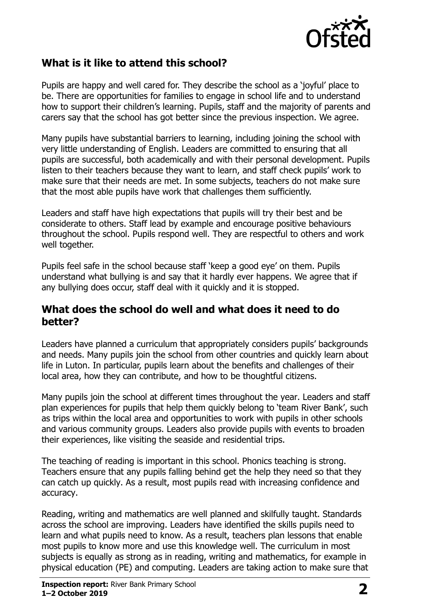

#### **What is it like to attend this school?**

Pupils are happy and well cared for. They describe the school as a 'joyful' place to be. There are opportunities for families to engage in school life and to understand how to support their children's learning. Pupils, staff and the majority of parents and carers say that the school has got better since the previous inspection. We agree.

Many pupils have substantial barriers to learning, including joining the school with very little understanding of English. Leaders are committed to ensuring that all pupils are successful, both academically and with their personal development. Pupils listen to their teachers because they want to learn, and staff check pupils' work to make sure that their needs are met. In some subjects, teachers do not make sure that the most able pupils have work that challenges them sufficiently.

Leaders and staff have high expectations that pupils will try their best and be considerate to others. Staff lead by example and encourage positive behaviours throughout the school. Pupils respond well. They are respectful to others and work well together.

Pupils feel safe in the school because staff 'keep a good eye' on them. Pupils understand what bullying is and say that it hardly ever happens. We agree that if any bullying does occur, staff deal with it quickly and it is stopped.

#### **What does the school do well and what does it need to do better?**

Leaders have planned a curriculum that appropriately considers pupils' backgrounds and needs. Many pupils join the school from other countries and quickly learn about life in Luton. In particular, pupils learn about the benefits and challenges of their local area, how they can contribute, and how to be thoughtful citizens.

Many pupils join the school at different times throughout the year. Leaders and staff plan experiences for pupils that help them quickly belong to 'team River Bank', such as trips within the local area and opportunities to work with pupils in other schools and various community groups. Leaders also provide pupils with events to broaden their experiences, like visiting the seaside and residential trips.

The teaching of reading is important in this school. Phonics teaching is strong. Teachers ensure that any pupils falling behind get the help they need so that they can catch up quickly. As a result, most pupils read with increasing confidence and accuracy.

Reading, writing and mathematics are well planned and skilfully taught. Standards across the school are improving. Leaders have identified the skills pupils need to learn and what pupils need to know. As a result, teachers plan lessons that enable most pupils to know more and use this knowledge well. The curriculum in most subjects is equally as strong as in reading, writing and mathematics, for example in physical education (PE) and computing. Leaders are taking action to make sure that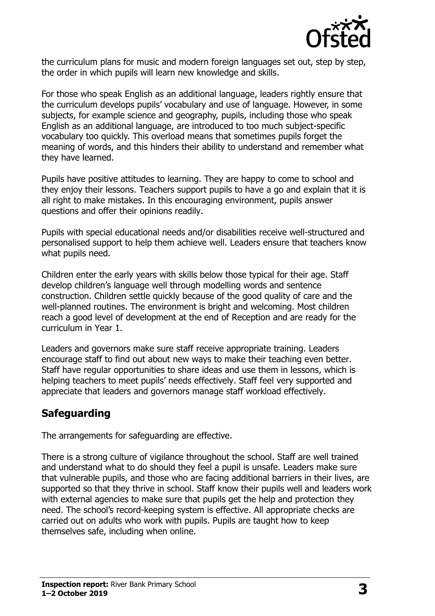

the curriculum plans for music and modern foreign languages set out, step by step, the order in which pupils will learn new knowledge and skills.

For those who speak English as an additional language, leaders rightly ensure that the curriculum develops pupils' vocabulary and use of language. However, in some subjects, for example science and geography, pupils, including those who speak English as an additional language, are introduced to too much subject-specific vocabulary too quickly. This overload means that sometimes pupils forget the meaning of words, and this hinders their ability to understand and remember what they have learned.

Pupils have positive attitudes to learning. They are happy to come to school and they enjoy their lessons. Teachers support pupils to have a go and explain that it is all right to make mistakes. In this encouraging environment, pupils answer questions and offer their opinions readily.

Pupils with special educational needs and/or disabilities receive well-structured and personalised support to help them achieve well. Leaders ensure that teachers know what pupils need.

Children enter the early years with skills below those typical for their age. Staff develop children's language well through modelling words and sentence construction. Children settle quickly because of the good quality of care and the well-planned routines. The environment is bright and welcoming. Most children reach a good level of development at the end of Reception and are ready for the curriculum in Year 1.

Leaders and governors make sure staff receive appropriate training. Leaders encourage staff to find out about new ways to make their teaching even better. Staff have regular opportunities to share ideas and use them in lessons, which is helping teachers to meet pupils' needs effectively. Staff feel very supported and appreciate that leaders and governors manage staff workload effectively.

#### **Safeguarding**

The arrangements for safeguarding are effective.

There is a strong culture of vigilance throughout the school. Staff are well trained and understand what to do should they feel a pupil is unsafe. Leaders make sure that vulnerable pupils, and those who are facing additional barriers in their lives, are supported so that they thrive in school. Staff know their pupils well and leaders work with external agencies to make sure that pupils get the help and protection they need. The school's record-keeping system is effective. All appropriate checks are carried out on adults who work with pupils. Pupils are taught how to keep themselves safe, including when online.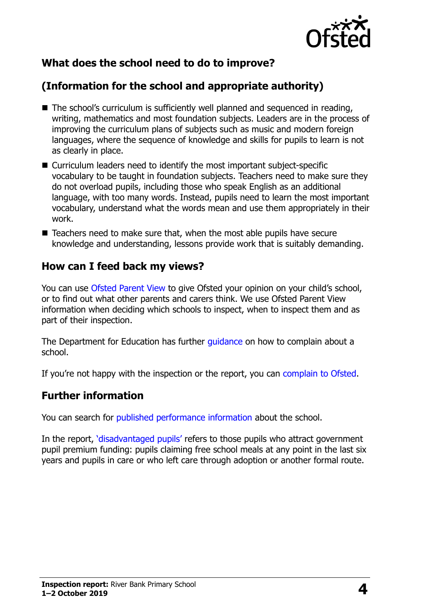

## **What does the school need to do to improve?**

## **(Information for the school and appropriate authority)**

- The school's curriculum is sufficiently well planned and sequenced in reading, writing, mathematics and most foundation subjects. Leaders are in the process of improving the curriculum plans of subjects such as music and modern foreign languages, where the sequence of knowledge and skills for pupils to learn is not as clearly in place.
- Curriculum leaders need to identify the most important subject-specific vocabulary to be taught in foundation subjects. Teachers need to make sure they do not overload pupils, including those who speak English as an additional language, with too many words. Instead, pupils need to learn the most important vocabulary, understand what the words mean and use them appropriately in their work.
- Teachers need to make sure that, when the most able pupils have secure knowledge and understanding, lessons provide work that is suitably demanding.

#### **How can I feed back my views?**

You can use [Ofsted Parent View](http://parentview.ofsted.gov.uk/) to give Ofsted your opinion on your child's school, or to find out what other parents and carers think. We use Ofsted Parent View information when deciding which schools to inspect, when to inspect them and as part of their inspection.

The Department for Education has further quidance on how to complain about a school.

If you're not happy with the inspection or the report, you can [complain to Ofsted.](http://www.gov.uk/complain-ofsted-report)

#### **Further information**

You can search for [published performance information](http://www.compare-school-performance.service.gov.uk/) about the school.

In the report, '[disadvantaged pupils](http://www.gov.uk/guidance/pupil-premium-information-for-schools-and-alternative-provision-settings)' refers to those pupils who attract government pupil premium funding: pupils claiming free school meals at any point in the last six years and pupils in care or who left care through adoption or another formal route.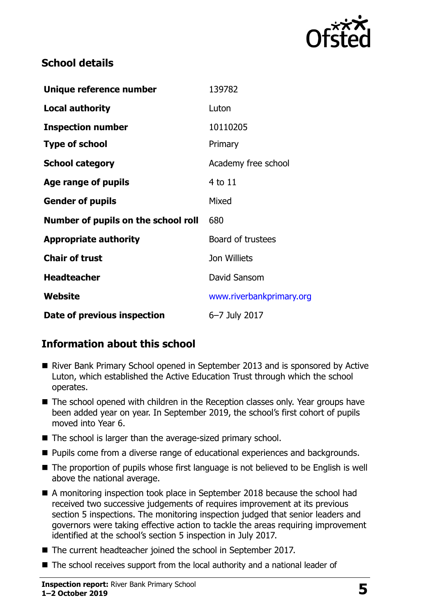

### **School details**

| Unique reference number             | 139782                   |
|-------------------------------------|--------------------------|
| <b>Local authority</b>              | Luton                    |
| <b>Inspection number</b>            | 10110205                 |
| <b>Type of school</b>               | Primary                  |
| <b>School category</b>              | Academy free school      |
| <b>Age range of pupils</b>          | 4 to 11                  |
| <b>Gender of pupils</b>             | Mixed                    |
| Number of pupils on the school roll | 680                      |
| <b>Appropriate authority</b>        | Board of trustees        |
| <b>Chair of trust</b>               | Jon Williets             |
| <b>Headteacher</b>                  | David Sansom             |
| <b>Website</b>                      | www.riverbankprimary.org |
| Date of previous inspection         | 6-7 July 2017            |

## **Information about this school**

- River Bank Primary School opened in September 2013 and is sponsored by Active Luton, which established the Active Education Trust through which the school operates.
- The school opened with children in the Reception classes only. Year groups have been added year on year. In September 2019, the school's first cohort of pupils moved into Year 6.
- The school is larger than the average-sized primary school.
- **Pupils come from a diverse range of educational experiences and backgrounds.**
- The proportion of pupils whose first language is not believed to be English is well above the national average.
- A monitoring inspection took place in September 2018 because the school had received two successive judgements of requires improvement at its previous section 5 inspections. The monitoring inspection judged that senior leaders and governors were taking effective action to tackle the areas requiring improvement identified at the school's section 5 inspection in July 2017.
- The current headteacher joined the school in September 2017.
- The school receives support from the local authority and a national leader of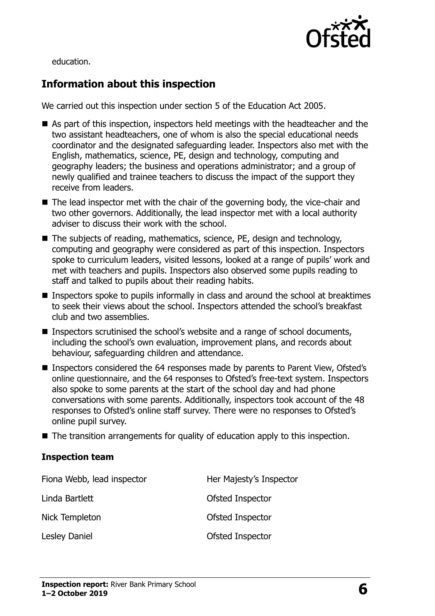

education.

## **Information about this inspection**

We carried out this inspection under section 5 of the Education Act 2005.

- As part of this inspection, inspectors held meetings with the headteacher and the two assistant headteachers, one of whom is also the special educational needs coordinator and the designated safeguarding leader. Inspectors also met with the English, mathematics, science, PE, design and technology, computing and geography leaders; the business and operations administrator; and a group of newly qualified and trainee teachers to discuss the impact of the support they receive from leaders.
- $\blacksquare$  The lead inspector met with the chair of the governing body, the vice-chair and two other governors. Additionally, the lead inspector met with a local authority adviser to discuss their work with the school.
- The subjects of reading, mathematics, science, PE, design and technology, computing and geography were considered as part of this inspection. Inspectors spoke to curriculum leaders, visited lessons, looked at a range of pupils' work and met with teachers and pupils. Inspectors also observed some pupils reading to staff and talked to pupils about their reading habits.
- **Inspectors spoke to pupils informally in class and around the school at breaktimes** to seek their views about the school. Inspectors attended the school's breakfast club and two assemblies.
- Inspectors scrutinised the school's website and a range of school documents, including the school's own evaluation, improvement plans, and records about behaviour, safeguarding children and attendance.
- Inspectors considered the 64 responses made by parents to Parent View, Ofsted's online questionnaire, and the 64 responses to Ofsted's free-text system. Inspectors also spoke to some parents at the start of the school day and had phone conversations with some parents. Additionally, inspectors took account of the 48 responses to Ofsted's online staff survey. There were no responses to Ofsted's online pupil survey.
- The transition arrangements for quality of education apply to this inspection.

#### **Inspection team**

| Fiona Webb, lead inspector | Her Majesty's Inspector |
|----------------------------|-------------------------|
| Linda Bartlett             | Ofsted Inspector        |
| Nick Templeton             | Ofsted Inspector        |
| <b>Lesley Daniel</b>       | Ofsted Inspector        |